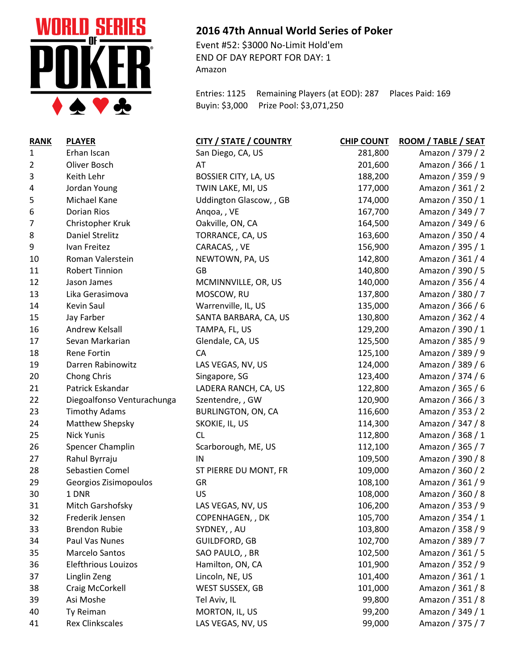

## **RANK PLAYER CITY / STATE / COUNTRY CHIP COUNT ROOM / TABLE / SEAT** Erhan Iscan San Diego, CA, US 281,800 Amazon / 379 / 2 Oliver Bosch AT 201,600 Amazon / 366 / 1 Keith Lehr BOSSIER CITY, LA, US 188,200 Amazon / 359 / 9 Jordan Young TWIN LAKE, MI, US 177,000 Amazon / 361 / 2 Michael Kane Uddington Glascow, , GB 174,000 Amazon / 350 / 1 Dorian Rios Anqoa, , VE 167,700 Amazon / 349 / 7 Christopher Kruk Oakville, ON, CA 164,500 Amazon / 349 / 6 8 Daniel Strelitz TORRANCE, CA, US 163,600 Amazon / 350 / 4 Ivan Freitez CARACAS, , VE 156,900 Amazon / 395 / 1 10 Roman Valerstein NEWTOWN, PA, US 142,800 Amazon / 361 / 4 Robert Tinnion GB 140,800 Amazon / 390 / 5 Jason James MCMINNVILLE, OR, US 140,000 Amazon / 356 / 4 Lika Gerasimova MOSCOW, RU 137,800 Amazon / 380 / 7 Kevin Saul Warrenville, IL, US 135,000 Amazon / 366 / 6 Jay Farber SANTA BARBARA, CA, US 130,800 Amazon / 362 / 4 Andrew Kelsall TAMPA, FL, US 129,200 Amazon / 390 / 1 Sevan Markarian Glendale, CA, US 125,500 Amazon / 385 / 9 18 Rene Fortin CA CA 125,100 Amazon / 389 / 9 Darren Rabinowitz LAS VEGAS, NV, US 124,000 Amazon / 389 / 6 20 Chong Chris Chong Chris Singapore, SG 123,400 Amazon / 374 / 6 Patrick Eskandar LADERA RANCH, CA, US 122,800 Amazon / 365 / 6 Diegoalfonso Venturachunga Szentendre, , GW 120,900 Amazon / 366 / 3 23 Timothy Adams BURLINGTON, ON, CA 116,600 Amazon / 353 / 2 Matthew Shepsky SKOKIE, IL, US 114,300 Amazon / 347 / 8 Nick Yunis CL 112,800 Amazon / 368 / 1 Spencer Champlin Scarborough, ME, US 112,100 Amazon / 365 / 7 Rahul Byrraju IN 109,500 Amazon / 390 / 8 Sebastien Comel ST PIERRE DU MONT, FR 109,000 Amazon / 360 / 2 Georgios Zisimopoulos GR 108,100 Amazon / 361 / 9 1 DNR US 108,000 Amazon / 360 / 8 Mitch Garshofsky LAS VEGAS, NV, US 106,200 Amazon / 353 / 9 Frederik Jensen COPENHAGEN, , DK 105,700 Amazon / 354 / 1 Brendon Rubie SYDNEY, , AU 103,800 Amazon / 358 / 9 Paul Vas Nunes GUILDFORD, GB 102,700 Amazon / 389 / 7 Marcelo Santos SAO PAULO, , BR 102,500 Amazon / 361 / 5 Elefthrious Louizos Hamilton, ON, CA 101,900 Amazon / 352 / 9 Linglin Zeng Lincoln, NE, US 101,400 Amazon / 361 / 1 Craig McCorkell WEST SUSSEX, GB 101,000 Amazon / 361 / 8 Asi Moshe Tel Aviv, IL 99,800 Amazon / 351 / 8 40 Ty Reiman **MORTON, IL, US** 99,200 Amazon / 349 / 1 41 Rex Clinkscales **LAS VEGAS, NV, US** 99,000 Amazon / 375 / 7

## **2016 47th Annual World Series of Poker**

Event #52: \$3000 No-Limit Hold'em END OF DAY REPORT FOR DAY: 1 Amazon

Entries: 1125 Remaining Players (at EOD): 287 Places Paid: 169 Buyin: \$3,000 Prize Pool: \$3,071,250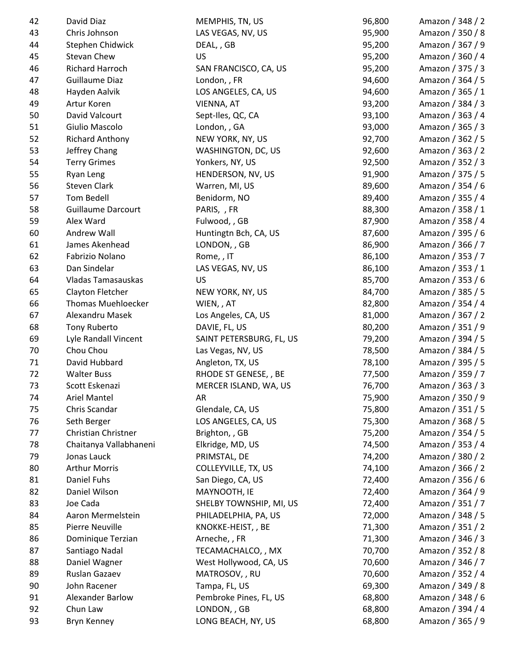| 42 | David Diaz                | MEMPHIS, TN, US          | 96,800 | Amazon / 348 / 2 |
|----|---------------------------|--------------------------|--------|------------------|
| 43 | Chris Johnson             | LAS VEGAS, NV, US        | 95,900 | Amazon / 350 / 8 |
| 44 | Stephen Chidwick          | DEAL, , GB               | 95,200 | Amazon / 367 / 9 |
| 45 | Stevan Chew               | US                       | 95,200 | Amazon / 360 / 4 |
| 46 | Richard Harroch           | SAN FRANCISCO, CA, US    | 95,200 | Amazon / 375 / 3 |
| 47 | <b>Guillaume Diaz</b>     | London, , FR             | 94,600 | Amazon / 364 / 5 |
| 48 | Hayden Aalvik             | LOS ANGELES, CA, US      | 94,600 | Amazon / 365 / 1 |
| 49 | Artur Koren               | VIENNA, AT               | 93,200 | Amazon / 384 / 3 |
| 50 | David Valcourt            | Sept-Iles, QC, CA        | 93,100 | Amazon / 363 / 4 |
| 51 | Giulio Mascolo            | London, , GA             | 93,000 | Amazon / 365 / 3 |
| 52 | <b>Richard Anthony</b>    | NEW YORK, NY, US         | 92,700 | Amazon / 362 / 5 |
| 53 | Jeffrey Chang             | WASHINGTON, DC, US       | 92,600 | Amazon / 363 / 2 |
| 54 | <b>Terry Grimes</b>       | Yonkers, NY, US          | 92,500 | Amazon / 352 / 3 |
| 55 | Ryan Leng                 | HENDERSON, NV, US        | 91,900 | Amazon / 375 / 5 |
| 56 | Steven Clark              | Warren, MI, US           | 89,600 | Amazon / 354 / 6 |
| 57 | Tom Bedell                | Benidorm, NO             | 89,400 | Amazon / 355 / 4 |
| 58 | <b>Guillaume Darcourt</b> | PARIS, , FR              | 88,300 | Amazon / 358 / 1 |
| 59 | Alex Ward                 | Fulwood, , GB            | 87,900 | Amazon / 358 / 4 |
| 60 | Andrew Wall               | Huntingtn Bch, CA, US    | 87,600 | Amazon / 395 / 6 |
| 61 | James Akenhead            | LONDON, , GB             | 86,900 | Amazon / 366 / 7 |
| 62 | Fabrizio Nolano           | Rome, , IT               | 86,100 | Amazon / 353 / 7 |
| 63 | Dan Sindelar              | LAS VEGAS, NV, US        | 86,100 | Amazon / 353 / 1 |
| 64 | Vladas Tamasauskas        | US                       | 85,700 | Amazon / 353 / 6 |
| 65 | Clayton Fletcher          | NEW YORK, NY, US         | 84,700 | Amazon / 385 / 5 |
| 66 | <b>Thomas Muehloecker</b> | WIEN, , AT               | 82,800 | Amazon / 354 / 4 |
| 67 | Alexandru Masek           | Los Angeles, CA, US      | 81,000 | Amazon / 367 / 2 |
| 68 | <b>Tony Ruberto</b>       | DAVIE, FL, US            | 80,200 | Amazon / 351 / 9 |
| 69 | Lyle Randall Vincent      | SAINT PETERSBURG, FL, US | 79,200 | Amazon / 394 / 5 |
| 70 | Chou Chou                 | Las Vegas, NV, US        | 78,500 | Amazon / 384 / 5 |
| 71 | David Hubbard             | Angleton, TX, US         | 78,100 | Amazon / 395 / 5 |
| 72 | <b>Walter Buss</b>        | RHODE ST GENESE, , BE    | 77,500 | Amazon / 359 / 7 |
| 73 | Scott Eskenazi            | MERCER ISLAND, WA, US    | 76,700 | Amazon / 363 / 3 |
| 74 | Ariel Mantel              | AR                       | 75,900 | Amazon / 350 / 9 |
| 75 | Chris Scandar             | Glendale, CA, US         | 75,800 | Amazon / 351 / 5 |
| 76 | Seth Berger               | LOS ANGELES, CA, US      | 75,300 | Amazon / 368 / 5 |
| 77 | Christian Christner       | Brighton, , GB           | 75,200 | Amazon / 354 / 5 |
| 78 | Chaitanya Vallabhaneni    | Elkridge, MD, US         | 74,500 | Amazon / 353 / 4 |
| 79 | Jonas Lauck               | PRIMSTAL, DE             | 74,200 | Amazon / 380 / 2 |
| 80 | <b>Arthur Morris</b>      | COLLEYVILLE, TX, US      | 74,100 | Amazon / 366 / 2 |
| 81 | <b>Daniel Fuhs</b>        | San Diego, CA, US        | 72,400 | Amazon / 356 / 6 |
| 82 | Daniel Wilson             | MAYNOOTH, IE             | 72,400 | Amazon / 364 / 9 |
| 83 | Joe Cada                  | SHELBY TOWNSHIP, MI, US  | 72,400 | Amazon / 351 / 7 |
| 84 | Aaron Mermelstein         | PHILADELPHIA, PA, US     | 72,000 | Amazon / 348 / 5 |
| 85 | Pierre Neuville           |                          |        | Amazon / 351 / 2 |
|    |                           | KNOKKE-HEIST, , BE       | 71,300 |                  |
| 86 | Dominique Terzian         | Arneche, , FR            | 71,300 | Amazon / 346 / 3 |
| 87 | Santiago Nadal            | TECAMACHALCO, , MX       | 70,700 | Amazon / 352 / 8 |
| 88 | Daniel Wagner             | West Hollywood, CA, US   | 70,600 | Amazon / 346 / 7 |
| 89 | Ruslan Gazaev             | MATROSOV, , RU           | 70,600 | Amazon / 352 / 4 |
| 90 | John Racener              | Tampa, FL, US            | 69,300 | Amazon / 349 / 8 |
| 91 | Alexander Barlow          | Pembroke Pines, FL, US   | 68,800 | Amazon / 348 / 6 |
| 92 | Chun Law                  | LONDON, , GB             | 68,800 | Amazon / 394 / 4 |
| 93 | Bryn Kenney               | LONG BEACH, NY, US       | 68,800 | Amazon / 365 / 9 |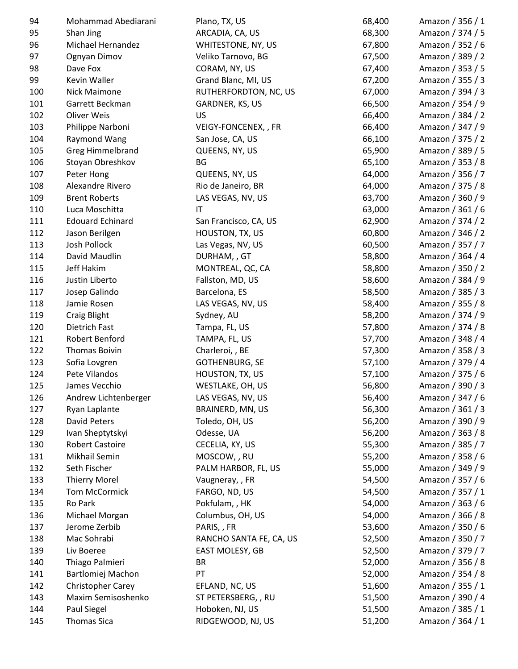| 94  | Mohammad Abediarani      | Plano, TX, US           | 68,400 | Amazon / 356 / 1 |
|-----|--------------------------|-------------------------|--------|------------------|
| 95  | Shan Jing                | ARCADIA, CA, US         | 68,300 | Amazon / 374 / 5 |
| 96  | Michael Hernandez        | WHITESTONE, NY, US      | 67,800 | Amazon / 352 / 6 |
| 97  | Ognyan Dimov             | Veliko Tarnovo, BG      | 67,500 | Amazon / 389 / 2 |
| 98  | Dave Fox                 | CORAM, NY, US           | 67,400 | Amazon / 353 / 5 |
| 99  | Kevin Waller             | Grand Blanc, MI, US     | 67,200 | Amazon / 355 / 3 |
| 100 | Nick Maimone             | RUTHERFORDTON, NC, US   | 67,000 | Amazon / 394 / 3 |
| 101 | Garrett Beckman          | GARDNER, KS, US         | 66,500 | Amazon / 354 / 9 |
| 102 | Oliver Weis              | US                      | 66,400 | Amazon / 384 / 2 |
| 103 | Philippe Narboni         | VEIGY-FONCENEX, , FR    | 66,400 | Amazon / 347 / 9 |
| 104 | Raymond Wang             | San Jose, CA, US        | 66,100 | Amazon / 375 / 2 |
| 105 | Greg Himmelbrand         | QUEENS, NY, US          | 65,900 | Amazon / 389 / 5 |
| 106 | Stoyan Obreshkov         | <b>BG</b>               | 65,100 | Amazon / 353 / 8 |
| 107 | Peter Hong               | QUEENS, NY, US          | 64,000 | Amazon / 356 / 7 |
| 108 | Alexandre Rivero         | Rio de Janeiro, BR      | 64,000 | Amazon / 375 / 8 |
| 109 | <b>Brent Roberts</b>     | LAS VEGAS, NV, US       | 63,700 | Amazon / 360 / 9 |
| 110 | Luca Moschitta           | $\mathsf{I}\mathsf{T}$  | 63,000 | Amazon / 361 / 6 |
| 111 | <b>Edouard Echinard</b>  | San Francisco, CA, US   | 62,900 | Amazon / 374 / 2 |
| 112 | Jason Berilgen           | HOUSTON, TX, US         | 60,800 | Amazon / 346 / 2 |
| 113 | Josh Pollock             | Las Vegas, NV, US       | 60,500 | Amazon / 357 / 7 |
| 114 | David Maudlin            | DURHAM, , GT            | 58,800 | Amazon / 364 / 4 |
| 115 | Jeff Hakim               | MONTREAL, QC, CA        | 58,800 | Amazon / 350 / 2 |
| 116 | Justin Liberto           | Fallston, MD, US        | 58,600 | Amazon / 384 / 9 |
| 117 | Josep Galindo            | Barcelona, ES           | 58,500 | Amazon / 385 / 3 |
| 118 | Jamie Rosen              | LAS VEGAS, NV, US       | 58,400 | Amazon / 355 / 8 |
| 119 | <b>Craig Blight</b>      | Sydney, AU              | 58,200 | Amazon / 374 / 9 |
| 120 | Dietrich Fast            | Tampa, FL, US           | 57,800 | Amazon / 374 / 8 |
| 121 | Robert Benford           | TAMPA, FL, US           | 57,700 | Amazon / 348 / 4 |
| 122 | <b>Thomas Boivin</b>     | Charleroi, , BE         | 57,300 | Amazon / 358 / 3 |
| 123 | Sofia Lovgren            | <b>GOTHENBURG, SE</b>   | 57,100 | Amazon / 379 / 4 |
| 124 | Pete Vilandos            | HOUSTON, TX, US         | 57,100 | Amazon / 375 / 6 |
| 125 | James Vecchio            | WESTLAKE, OH, US        | 56,800 | Amazon / 390 / 3 |
| 126 | Andrew Lichtenberger     | LAS VEGAS, NV, US       | 56,400 | Amazon / 347 / 6 |
| 127 | Ryan Laplante            | BRAINERD, MN, US        | 56,300 | Amazon / 361 / 3 |
| 128 | David Peters             | Toledo, OH, US          | 56,200 | Amazon / 390 / 9 |
| 129 | Ivan Sheptytskyi         | Odesse, UA              | 56,200 | Amazon / 363 / 8 |
| 130 | <b>Robert Castoire</b>   | CECELIA, KY, US         | 55,300 | Amazon / 385 / 7 |
| 131 | Mikhail Semin            | MOSCOW, , RU            | 55,200 | Amazon / 358 / 6 |
| 132 | Seth Fischer             | PALM HARBOR, FL, US     | 55,000 | Amazon / 349 / 9 |
| 133 | <b>Thierry Morel</b>     | Vaugneray, , FR         | 54,500 | Amazon / 357 / 6 |
| 134 | <b>Tom McCormick</b>     | FARGO, ND, US           | 54,500 | Amazon / 357 / 1 |
| 135 | Ro Park                  | Pokfulam, , HK          | 54,000 | Amazon / 363 / 6 |
| 136 | Michael Morgan           | Columbus, OH, US        | 54,000 | Amazon / 366 / 8 |
| 137 | Jerome Zerbib            | PARIS, , FR             | 53,600 | Amazon / 350 / 6 |
| 138 | Mac Sohrabi              | RANCHO SANTA FE, CA, US | 52,500 | Amazon / 350 / 7 |
| 139 | Liv Boeree               | EAST MOLESY, GB         | 52,500 | Amazon / 379 / 7 |
| 140 | Thiago Palmieri          | <b>BR</b>               | 52,000 | Amazon / 356 / 8 |
| 141 | Bartlomiej Machon        | PT                      | 52,000 | Amazon / 354 / 8 |
| 142 | <b>Christopher Carey</b> | EFLAND, NC, US          | 51,600 | Amazon / 355 / 1 |
| 143 | Maxim Semisoshenko       | ST PETERSBERG, , RU     | 51,500 | Amazon / 390 / 4 |
| 144 | Paul Siegel              | Hoboken, NJ, US         | 51,500 | Amazon / 385 / 1 |
| 145 | <b>Thomas Sica</b>       | RIDGEWOOD, NJ, US       | 51,200 | Amazon / 364 / 1 |
|     |                          |                         |        |                  |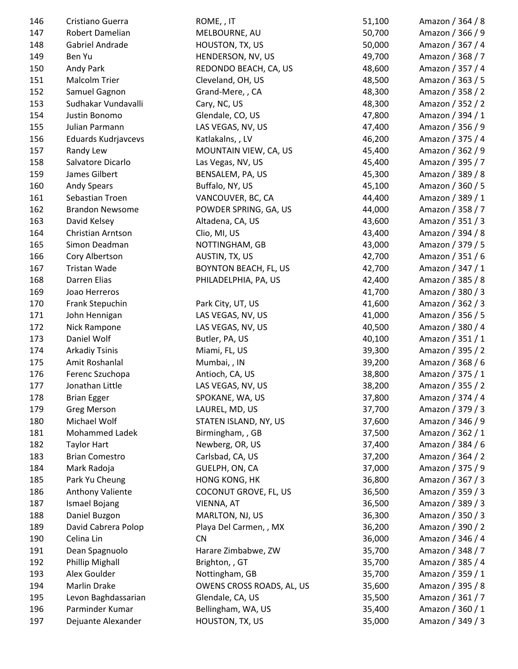| 146 | Cristiano Guerra        | ROME, , IT                | 51,100 | Amazon / 364 / 8 |
|-----|-------------------------|---------------------------|--------|------------------|
| 147 | Robert Damelian         | MELBOURNE, AU             | 50,700 | Amazon / 366 / 9 |
| 148 | Gabriel Andrade         | HOUSTON, TX, US           | 50,000 | Amazon / 367 / 4 |
| 149 | Ben Yu                  | HENDERSON, NV, US         | 49,700 | Amazon / 368 / 7 |
| 150 | Andy Park               | REDONDO BEACH, CA, US     | 48,600 | Amazon / 357 / 4 |
| 151 | <b>Malcolm Trier</b>    | Cleveland, OH, US         | 48,500 | Amazon / 363 / 5 |
| 152 | Samuel Gagnon           | Grand-Mere, , CA          | 48,300 | Amazon / 358 / 2 |
| 153 | Sudhakar Vundavalli     | Cary, NC, US              | 48,300 | Amazon / 352 / 2 |
| 154 | Justin Bonomo           | Glendale, CO, US          | 47,800 | Amazon / 394 / 1 |
| 155 | Julian Parmann          | LAS VEGAS, NV, US         | 47,400 | Amazon / 356 / 9 |
| 156 | Eduards Kudrjavcevs     | Katlakalns, , LV          | 46,200 | Amazon / 375 / 4 |
| 157 | Randy Lew               | MOUNTAIN VIEW, CA, US     | 45,400 | Amazon / 362 / 9 |
| 158 | Salvatore Dicarlo       | Las Vegas, NV, US         | 45,400 | Amazon / 395 / 7 |
| 159 | James Gilbert           | BENSALEM, PA, US          | 45,300 | Amazon / 389 / 8 |
| 160 | <b>Andy Spears</b>      | Buffalo, NY, US           | 45,100 | Amazon / 360 / 5 |
| 161 | Sebastian Troen         | VANCOUVER, BC, CA         | 44,400 | Amazon / 389 / 1 |
| 162 | <b>Brandon Newsome</b>  | POWDER SPRING, GA, US     | 44,000 | Amazon / 358 / 7 |
| 163 | David Kelsey            | Altadena, CA, US          | 43,600 | Amazon / 351 / 3 |
| 164 | Christian Arntson       | Clio, MI, US              | 43,400 | Amazon / 394 / 8 |
| 165 | Simon Deadman           | NOTTINGHAM, GB            | 43,000 | Amazon / 379 / 5 |
| 166 | Cory Albertson          | AUSTIN, TX, US            | 42,700 | Amazon / 351 / 6 |
| 167 | Tristan Wade            | BOYNTON BEACH, FL, US     | 42,700 | Amazon / 347 / 1 |
| 168 | Darren Elias            | PHILADELPHIA, PA, US      | 42,400 | Amazon / 385 / 8 |
| 169 | Joao Herreros           |                           | 41,700 | Amazon / 380 / 3 |
| 170 | Frank Stepuchin         | Park City, UT, US         | 41,600 | Amazon / 362 / 3 |
| 171 | John Hennigan           | LAS VEGAS, NV, US         | 41,000 | Amazon / 356 / 5 |
| 172 | Nick Rampone            | LAS VEGAS, NV, US         | 40,500 | Amazon / 380 / 4 |
| 173 | Daniel Wolf             | Butler, PA, US            | 40,100 | Amazon / 351 / 1 |
| 174 | <b>Arkadiy Tsinis</b>   | Miami, FL, US             | 39,300 | Amazon / 395 / 2 |
| 175 | Amit Roshanlal          | Mumbai, , IN              | 39,200 | Amazon / 368 / 6 |
| 176 | Ferenc Szuchopa         | Antioch, CA, US           | 38,800 | Amazon / 375 / 1 |
| 177 | Jonathan Little         | LAS VEGAS, NV, US         | 38,200 | Amazon / 355 / 2 |
| 178 | <b>Brian Egger</b>      | SPOKANE, WA, US           | 37,800 | Amazon / 374 / 4 |
| 179 | <b>Greg Merson</b>      | LAUREL, MD, US            | 37,700 | Amazon / 379 / 3 |
| 180 | Michael Wolf            | STATEN ISLAND, NY, US     | 37,600 | Amazon / 346 / 9 |
| 181 | <b>Mohammed Ladek</b>   | Birmingham, , GB          | 37,500 | Amazon / 362 / 1 |
| 182 | <b>Taylor Hart</b>      | Newberg, OR, US           | 37,400 | Amazon / 384 / 6 |
| 183 | <b>Brian Comestro</b>   | Carlsbad, CA, US          | 37,200 | Amazon / 364 / 2 |
| 184 | Mark Radoja             | GUELPH, ON, CA            | 37,000 | Amazon / 375 / 9 |
| 185 | Park Yu Cheung          | <b>HONG KONG, HK</b>      | 36,800 | Amazon / 367 / 3 |
| 186 | <b>Anthony Valiente</b> | COCONUT GROVE, FL, US     | 36,500 | Amazon / 359 / 3 |
| 187 | Ismael Bojang           | VIENNA, AT                | 36,500 | Amazon / 389 / 3 |
| 188 | Daniel Buzgon           | MARLTON, NJ, US           | 36,300 | Amazon / 350 / 3 |
| 189 | David Cabrera Polop     | Playa Del Carmen, , MX    | 36,200 | Amazon / 390 / 2 |
| 190 | Celina Lin              | <b>CN</b>                 | 36,000 | Amazon / 346 / 4 |
| 191 | Dean Spagnuolo          | Harare Zimbabwe, ZW       | 35,700 | Amazon / 348 / 7 |
| 192 | <b>Phillip Mighall</b>  | Brighton, , GT            | 35,700 | Amazon / 385 / 4 |
| 193 | Alex Goulder            | Nottingham, GB            | 35,700 | Amazon / 359 / 1 |
| 194 | <b>Marlin Drake</b>     | OWENS CROSS ROADS, AL, US | 35,600 | Amazon / 395 / 8 |
| 195 | Levon Baghdassarian     | Glendale, CA, US          | 35,500 | Amazon / 361 / 7 |
| 196 | Parminder Kumar         | Bellingham, WA, US        | 35,400 | Amazon / 360 / 1 |
| 197 | Dejuante Alexander      | HOUSTON, TX, US           | 35,000 | Amazon / 349 / 3 |
|     |                         |                           |        |                  |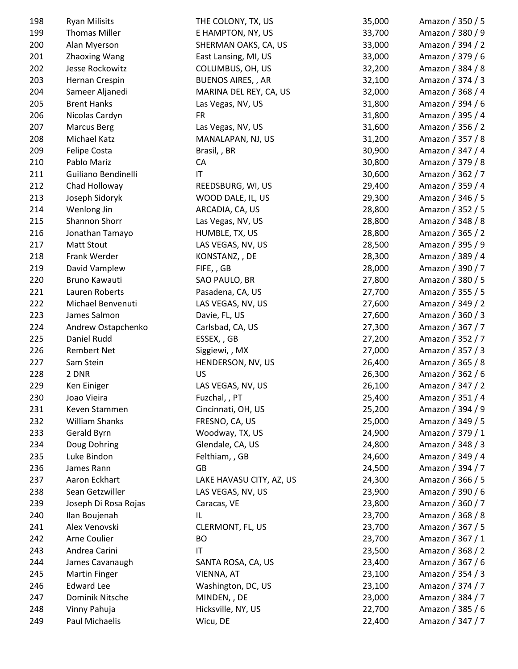| 198 | <b>Ryan Milisits</b>  | THE COLONY, TX, US       | 35,000 | Amazon / 350 / 5 |
|-----|-----------------------|--------------------------|--------|------------------|
| 199 | <b>Thomas Miller</b>  | E HAMPTON, NY, US        | 33,700 | Amazon / 380 / 9 |
| 200 | Alan Myerson          | SHERMAN OAKS, CA, US     | 33,000 | Amazon / 394 / 2 |
| 201 | <b>Zhaoxing Wang</b>  | East Lansing, MI, US     | 33,000 | Amazon / 379 / 6 |
| 202 | Jesse Rockowitz       | COLUMBUS, OH, US         | 32,200 | Amazon / 384 / 8 |
| 203 | Hernan Crespin        | <b>BUENOS AIRES,, AR</b> | 32,100 | Amazon / 374 / 3 |
| 204 | Sameer Aljanedi       | MARINA DEL REY, CA, US   | 32,000 | Amazon / 368 / 4 |
| 205 | <b>Brent Hanks</b>    | Las Vegas, NV, US        | 31,800 | Amazon / 394 / 6 |
| 206 | Nicolas Cardyn        | <b>FR</b>                | 31,800 | Amazon / 395 / 4 |
| 207 | <b>Marcus Berg</b>    | Las Vegas, NV, US        | 31,600 | Amazon / 356 / 2 |
| 208 | Michael Katz          | MANALAPAN, NJ, US        | 31,200 | Amazon / 357 / 8 |
| 209 | Felipe Costa          | Brasil, , BR             | 30,900 | Amazon / 347 / 4 |
| 210 | Pablo Mariz           | CA                       | 30,800 | Amazon / 379 / 8 |
| 211 | Guiliano Bendinelli   | $\mathsf{I}\mathsf{T}$   | 30,600 | Amazon / 362 / 7 |
| 212 | Chad Holloway         | REEDSBURG, WI, US        | 29,400 | Amazon / 359 / 4 |
| 213 | Joseph Sidoryk        | WOOD DALE, IL, US        | 29,300 | Amazon / 346 / 5 |
| 214 | Wenlong Jin           | ARCADIA, CA, US          | 28,800 | Amazon / 352 / 5 |
| 215 | Shannon Shorr         | Las Vegas, NV, US        | 28,800 | Amazon / 348 / 8 |
| 216 | Jonathan Tamayo       | HUMBLE, TX, US           | 28,800 | Amazon / 365 / 2 |
| 217 | <b>Matt Stout</b>     | LAS VEGAS, NV, US        | 28,500 | Amazon / 395 / 9 |
| 218 | Frank Werder          | KONSTANZ, , DE           | 28,300 | Amazon / 389 / 4 |
| 219 | David Vamplew         | FIFE,, GB                | 28,000 | Amazon / 390 / 7 |
| 220 | Bruno Kawauti         | SAO PAULO, BR            | 27,800 | Amazon / 380 / 5 |
| 221 | Lauren Roberts        | Pasadena, CA, US         | 27,700 | Amazon / 355 / 5 |
| 222 | Michael Benvenuti     | LAS VEGAS, NV, US        | 27,600 | Amazon / 349 / 2 |
| 223 | James Salmon          | Davie, FL, US            | 27,600 | Amazon / 360 / 3 |
| 224 | Andrew Ostapchenko    | Carlsbad, CA, US         | 27,300 | Amazon / 367 / 7 |
| 225 | Daniel Rudd           | ESSEX, , GB              | 27,200 | Amazon / 352 / 7 |
| 226 | <b>Rembert Net</b>    | Siggiewi, , MX           | 27,000 | Amazon / 357 / 3 |
| 227 | Sam Stein             | HENDERSON, NV, US        | 26,400 | Amazon / 365 / 8 |
| 228 | 2 DNR                 | US                       | 26,300 | Amazon / 362 / 6 |
| 229 | Ken Einiger           | LAS VEGAS, NV, US        | 26,100 | Amazon / 347 / 2 |
| 230 | Joao Vieira           | Fuzchal, , PT            | 25,400 | Amazon / 351 / 4 |
| 231 | Keven Stammen         | Cincinnati, OH, US       | 25,200 | Amazon / 394 / 9 |
| 232 | <b>William Shanks</b> | FRESNO, CA, US           | 25,000 | Amazon / 349 / 5 |
| 233 | Gerald Byrn           | Woodway, TX, US          | 24,900 | Amazon / 379 / 1 |
| 234 | Doug Dohring          | Glendale, CA, US         | 24,800 | Amazon / 348 / 3 |
| 235 | Luke Bindon           | Felthiam, , GB           | 24,600 | Amazon / 349 / 4 |
| 236 | James Rann            | GB                       | 24,500 | Amazon / 394 / 7 |
| 237 | Aaron Eckhart         | LAKE HAVASU CITY, AZ, US | 24,300 | Amazon / 366 / 5 |
| 238 | Sean Getzwiller       | LAS VEGAS, NV, US        | 23,900 | Amazon / 390 / 6 |
| 239 | Joseph Di Rosa Rojas  | Caracas, VE              | 23,800 | Amazon / 360 / 7 |
| 240 | Ilan Boujenah         | IL                       | 23,700 | Amazon / 368 / 8 |
| 241 | Alex Venovski         | CLERMONT, FL, US         | 23,700 | Amazon / 367 / 5 |
| 242 | Arne Coulier          | BO                       | 23,700 | Amazon / 367 / 1 |
| 243 | Andrea Carini         | $\mathsf{I}\mathsf{T}$   | 23,500 | Amazon / 368 / 2 |
| 244 | James Cavanaugh       | SANTA ROSA, CA, US       | 23,400 | Amazon / 367 / 6 |
| 245 | <b>Martin Finger</b>  | VIENNA, AT               | 23,100 | Amazon / 354 / 3 |
| 246 | <b>Edward Lee</b>     | Washington, DC, US       | 23,100 | Amazon / 374 / 7 |
| 247 | Dominik Nitsche       | MINDEN, , DE             | 23,000 | Amazon / 384 / 7 |
| 248 | Vinny Pahuja          | Hicksville, NY, US       | 22,700 | Amazon / 385 / 6 |
| 249 | Paul Michaelis        | Wicu, DE                 | 22,400 | Amazon / 347 / 7 |
|     |                       |                          |        |                  |